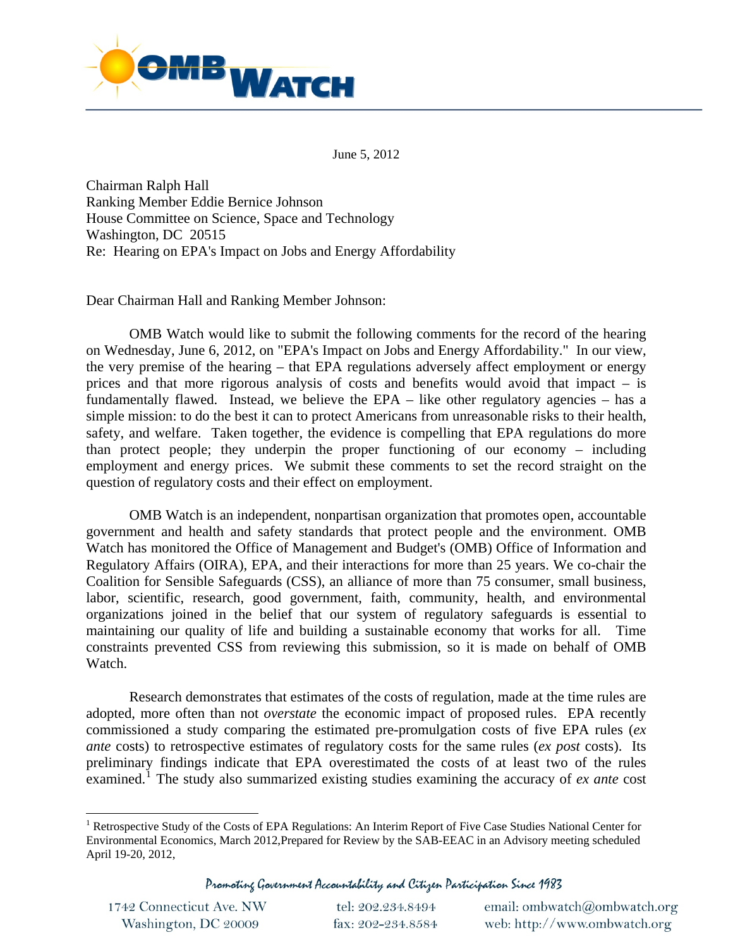

June 5, 2012

Chairman Ralph Hall Ranking Member Eddie Bernice Johnson House Committee on Science, Space and Technology Washington, DC 20515 Re: Hearing on EPA's Impact on Jobs and Energy Affordability

Dear Chairman Hall and Ranking Member Johnson:

 OMB Watch would like to submit the following comments for the record of the hearing on Wednesday, June 6, 2012, on "EPA's Impact on Jobs and Energy Affordability." In our view, the very premise of the hearing – that EPA regulations adversely affect employment or energy prices and that more rigorous analysis of costs and benefits would avoid that impact – is fundamentally flawed. Instead, we believe the EPA – like other regulatory agencies – has a simple mission: to do the best it can to protect Americans from unreasonable risks to their health, safety, and welfare. Taken together, the evidence is compelling that EPA regulations do more than protect people; they underpin the proper functioning of our economy – including employment and energy prices. We submit these comments to set the record straight on the question of regulatory costs and their effect on employment.

OMB Watch is an independent, nonpartisan organization that promotes open, accountable government and health and safety standards that protect people and the environment. OMB Watch has monitored the Office of Management and Budget's (OMB) Office of Information and Regulatory Affairs (OIRA), EPA, and their interactions for more than 25 years. We co-chair the Coalition for Sensible Safeguards (CSS), an alliance of more than 75 consumer, small business, labor, scientific, research, good government, faith, community, health, and environmental organizations joined in the belief that our system of regulatory safeguards is essential to maintaining our quality of life and building a sustainable economy that works for all. Time constraints prevented CSS from reviewing this submission, so it is made on behalf of OMB Watch.

Research demonstrates that estimates of the costs of regulation, made at the time rules are adopted, more often than not *overstate* the economic impact of proposed rules. EPA recently commissioned a study comparing the estimated pre-promulgation costs of five EPA rules (*ex ante* costs) to retrospective estimates of regulatory costs for the same rules (*ex post* costs). Its preliminary findings indicate that EPA overestimated the costs of at least two of the rules examined.[1](#page-0-0) The study also summarized existing studies examining the accuracy of *ex ante* cost

Promoting Government Accountability and Citizen Participation Since 1983

1742 Connecticut Ave. NW tel: 202.234.8494 Washington, DC 20009

fax: 202-234.8584

email: ombwatch@ombwatch.org web: http://www.ombwatch.org

<span id="page-0-0"></span><sup>&</sup>lt;sup>1</sup> Retrospective Study of the Costs of EPA Regulations: An Interim Report of Five Case Studies National Center for Environmental Economics, March 2012,Prepared for Review by the SAB-EEAC in an Advisory meeting scheduled April 19-20, 2012,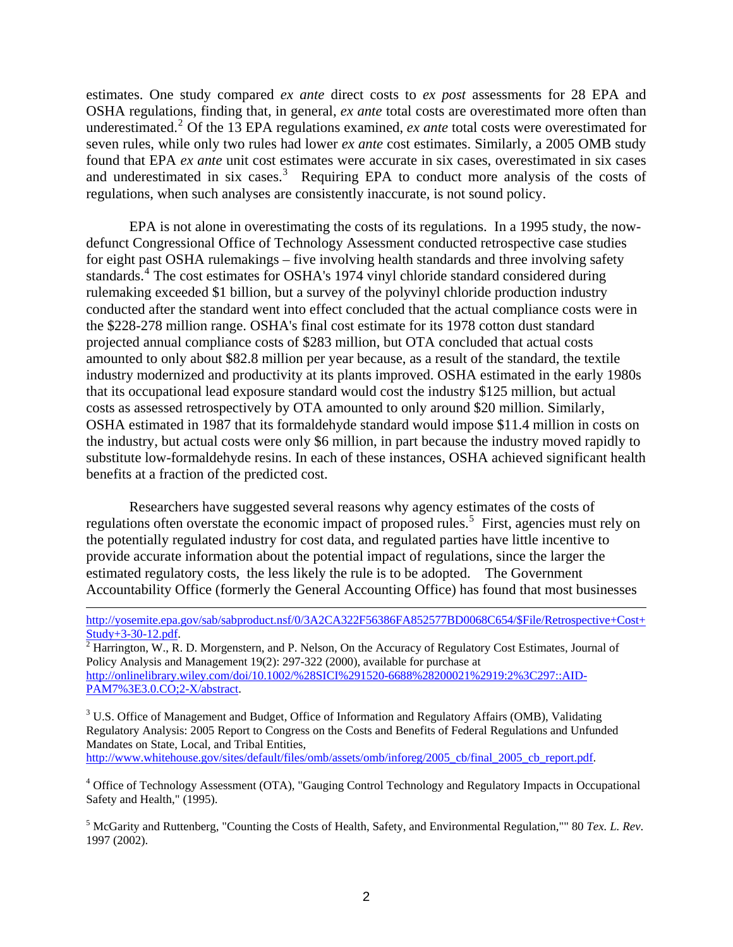estimates. One study compared *ex ante* direct costs to *ex post* assessments for 28 EPA and OSHA regulations, finding that, in general, *ex ante* total costs are overestimated more often than underestimated.<sup>[2](#page-1-0)</sup> Of the 13 EPA regulations examined, *ex ante* total costs were overestimated for seven rules, while only two rules had lower *ex ante* cost estimates. Similarly, a 2005 OMB study found that EPA *ex ante* unit cost estimates were accurate in six cases, overestimated in six cases and underestimated in six cases.<sup>[3](#page-1-1)</sup> Requiring EPA to conduct more analysis of the costs of regulations, when such analyses are consistently inaccurate, is not sound policy.

EPA is not alone in overestimating the costs of its regulations. In a 1995 study, the nowdefunct Congressional Office of Technology Assessment conducted retrospective case studies for eight past OSHA rulemakings – five involving health standards and three involving safety standards.<sup>[4](#page-1-2)</sup> The cost estimates for OSHA's 1974 vinyl chloride standard considered during rulemaking exceeded \$1 billion, but a survey of the polyvinyl chloride production industry conducted after the standard went into effect concluded that the actual compliance costs were in the \$228-278 million range. OSHA's final cost estimate for its 1978 cotton dust standard projected annual compliance costs of \$283 million, but OTA concluded that actual costs amounted to only about \$82.8 million per year because, as a result of the standard, the textile industry modernized and productivity at its plants improved. OSHA estimated in the early 1980s that its occupational lead exposure standard would cost the industry \$125 million, but actual costs as assessed retrospectively by OTA amounted to only around \$20 million. Similarly, OSHA estimated in 1987 that its formaldehyde standard would impose \$11.4 million in costs on the industry, but actual costs were only \$6 million, in part because the industry moved rapidly to substitute low-formaldehyde resins. In each of these instances, OSHA achieved significant health benefits at a fraction of the predicted cost.

Researchers have suggested several reasons why agency estimates of the costs of regulations often overstate the economic impact of proposed rules.<sup>[5](#page-1-3)</sup> First, agencies must rely on the potentially regulated industry for cost data, and regulated parties have little incentive to provide accurate information about the potential impact of regulations, since the larger the estimated regulatory costs, the less likely the rule is to be adopted. The Government Accountability Office (formerly the General Accounting Office) has found that most businesses

<span id="page-1-0"></span>Policy Analysis and Management 19(2): 297-322 (2000), available for purchase at [http://onlinelibrary.wiley.com/doi/10.1002/%28SICI%291520-6688%28200021%2919:2%3C297::AID-](http://onlinelibrary.wiley.com/doi/10.1002/%28SICI%291520-6688%28200021%2919:2%3C297::AID-PAM7%3E3.0.CO;2-X/abstract)[PAM7%3E3.0.CO;2-X/abstract](http://onlinelibrary.wiley.com/doi/10.1002/%28SICI%291520-6688%28200021%2919:2%3C297::AID-PAM7%3E3.0.CO;2-X/abstract).

<span id="page-1-1"></span><sup>3</sup> U.S. Office of Management and Budget, Office of Information and Regulatory Affairs (OMB), Validating Regulatory Analysis: 2005 Report to Congress on the Costs and Benefits of Federal Regulations and Unfunded Mandates on State, Local, and Tribal Entities, [http://www.whitehouse.gov/sites/default/files/omb/assets/omb/inforeg/2005\\_cb/final\\_2005\\_cb\\_report.pdf.](http://www.whitehouse.gov/sites/default/files/omb/assets/omb/inforeg/2005_cb/final_2005_cb_report.pdf)

<span id="page-1-2"></span><sup>4</sup> Office of Technology Assessment (OTA), "Gauging Control Technology and Regulatory Impacts in Occupational Safety and Health," (1995).

<span id="page-1-3"></span>5 McGarity and Ruttenberg, "Counting the Costs of Health, Safety, and Environmental Regulation,"" 80 *Tex. L. Rev*. 1997 (2002).

[http://yosemite.epa.gov/sab/sabproduct.nsf/0/3A2CA322F56386FA852577BD0068C654/\\$File/Retrospective+Cost+](http://yosemite.epa.gov/sab/sabproduct.nsf/0/3A2CA322F56386FA852577BD0068C654/$File/Retrospective+Cost+Study+3-30-12.pdf) [Study+3-30-12.pdf.](http://yosemite.epa.gov/sab/sabproduct.nsf/0/3A2CA322F56386FA852577BD0068C654/$File/Retrospective+Cost+Study+3-30-12.pdf)<br><sup>[2](http://yosemite.epa.gov/sab/sabproduct.nsf/0/3A2CA322F56386FA852577BD0068C654/$File/Retrospective+Cost+Study+3-30-12.pdf)</sup> Harrington, W., R. D. Morgenstern, and P. Nelson, On the Accuracy of Regulatory Cost Estimates, Journal of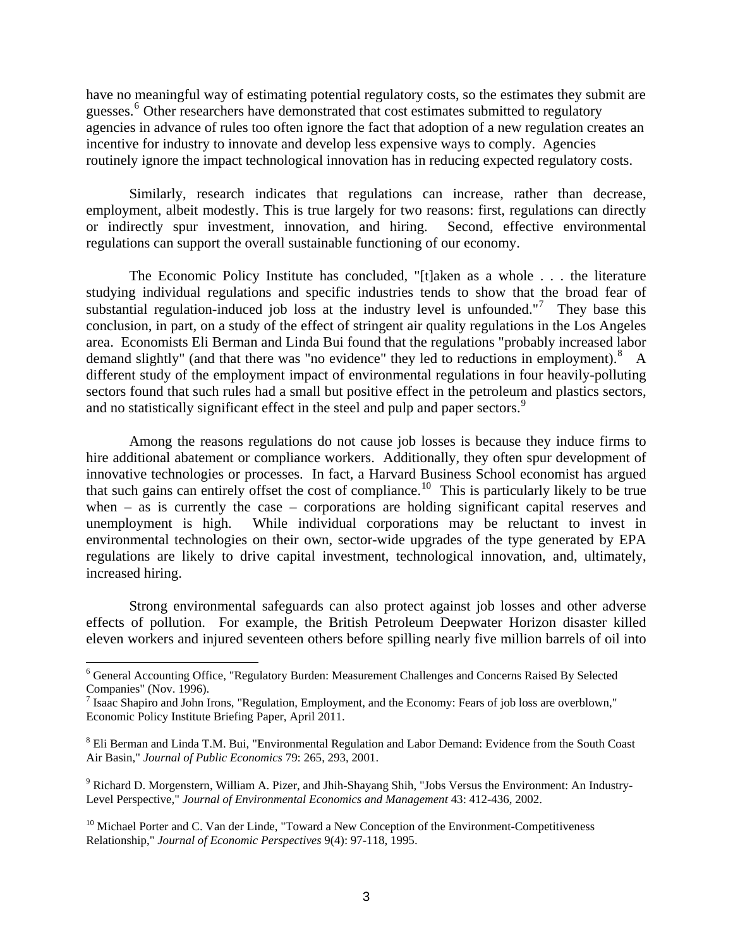have no meaningful way of estimating potential regulatory costs, so the estimates they submit are guesses.<sup>[6](#page-2-0)</sup> Other researchers have demonstrated that cost estimates submitted to regulatory agencies in advance of rules too often ignore the fact that adoption of a new regulation creates an incentive for industry to innovate and develop less expensive ways to comply. Agencies routinely ignore the impact technological innovation has in reducing expected regulatory costs.

 Similarly, research indicates that regulations can increase, rather than decrease, employment, albeit modestly. This is true largely for two reasons: first, regulations can directly or indirectly spur investment, innovation, and hiring. Second, effective environmental regulations can support the overall sustainable functioning of our economy.

 The Economic Policy Institute has concluded, "[t]aken as a whole . . . the literature studying individual regulations and specific industries tends to show that the broad fear of substantial regulation-induced job loss at the industry level is unfounded."<sup>[7](#page-2-1)</sup> They base this conclusion, in part, on a study of the effect of stringent air quality regulations in the Los Angeles area. Economists Eli Berman and Linda Bui found that the regulations "probably increased labor demand slightly" (and that there was "no evidence" they led to reductions in employment).<sup>[8](#page-2-2)</sup> A different study of the employment impact of environmental regulations in four heavily-polluting sectors found that such rules had a small but positive effect in the petroleum and plastics sectors, and no statistically significant effect in the steel and pulp and paper sectors.<sup>[9](#page-2-3)</sup>

Among the reasons regulations do not cause job losses is because they induce firms to hire additional abatement or compliance workers. Additionally, they often spur development of innovative technologies or processes. In fact, a Harvard Business School economist has argued that such gains can entirely offset the cost of compliance.<sup>[10](#page-2-4)</sup> This is particularly likely to be true when – as is currently the case – corporations are holding significant capital reserves and unemployment is high. While individual corporations may be reluctant to invest in environmental technologies on their own, sector-wide upgrades of the type generated by EPA regulations are likely to drive capital investment, technological innovation, and, ultimately, increased hiring.

 Strong environmental safeguards can also protect against job losses and other adverse effects of pollution. For example, the British Petroleum Deepwater Horizon disaster killed eleven workers and injured seventeen others before spilling nearly five million barrels of oil into

<span id="page-2-0"></span><sup>&</sup>lt;sup>6</sup> General Accounting Office, "Regulatory Burden: Measurement Challenges and Concerns Raised By Selected Companies" (Nov. 1996).

<span id="page-2-1"></span><sup>&</sup>lt;sup>7</sup> Isaac Shapiro and John Irons, "Regulation, Employment, and the Economy: Fears of job loss are overblown," Economic Policy Institute Briefing Paper, April 2011.

<span id="page-2-2"></span><sup>&</sup>lt;sup>8</sup> Eli Berman and Linda T.M. Bui, "Environmental Regulation and Labor Demand: Evidence from the South Coast Air Basin," *Journal of Public Economics* 79: 265, 293, 2001.

<span id="page-2-3"></span><sup>&</sup>lt;sup>9</sup> Richard D. Morgenstern, William A. Pizer, and Jhih-Shayang Shih, "Jobs Versus the Environment: An Industry-Level Perspective," *Journal of Environmental Economics and Management* 43: 412-436, 2002.

<span id="page-2-4"></span> $10$  Michael Porter and C. Van der Linde, "Toward a New Conception of the Environment-Competitiveness Relationship," *Journal of Economic Perspectives* 9(4): 97-118, 1995.